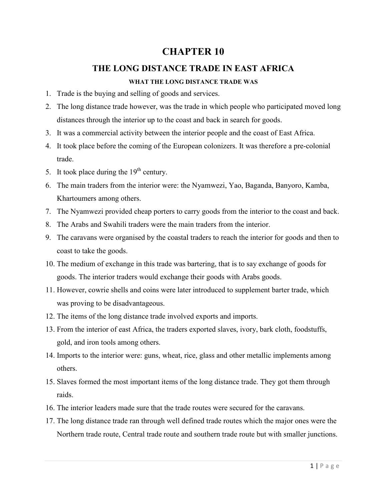# **CHAPTER 10**

# **THE LONG DISTANCE TRADE IN EAST AFRICA**

# **WHAT THE LONG DISTANCE TRADE WAS**

- 1. Trade is the buying and selling of goods and services.
- 2. The long distance trade however, was the trade in which people who participated moved long distances through the interior up to the coast and back in search for goods.
- 3. It was a commercial activity between the interior people and the coast of East Africa.
- 4. It took place before the coming of the European colonizers. It was therefore a pre-colonial trade.
- 5. It took place during the  $19<sup>th</sup>$  century.
- 6. The main traders from the interior were: the Nyamwezi, Yao, Baganda, Banyoro, Kamba, Khartoumers among others.
- 7. The Nyamwezi provided cheap porters to carry goods from the interior to the coast and back.
- 8. The Arabs and Swahili traders were the main traders from the interior.
- 9. The caravans were organised by the coastal traders to reach the interior for goods and then to coast to take the goods.
- 10. The medium of exchange in this trade was bartering, that is to say exchange of goods for goods. The interior traders would exchange their goods with Arabs goods.
- 11. However, cowrie shells and coins were later introduced to supplement barter trade, which was proving to be disadvantageous.
- 12. The items of the long distance trade involved exports and imports.
- 13. From the interior of east Africa, the traders exported slaves, ivory, bark cloth, foodstuffs, gold, and iron tools among others.
- 14. Imports to the interior were: guns, wheat, rice, glass and other metallic implements among others.
- 15. Slaves formed the most important items of the long distance trade. They got them through raids.
- 16. The interior leaders made sure that the trade routes were secured for the caravans.
- 17. The long distance trade ran through well defined trade routes which the major ones were the Northern trade route, Central trade route and southern trade route but with smaller junctions.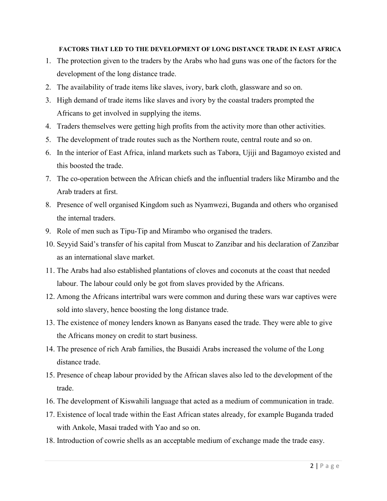# **FACTORS THAT LED TO THE DEVELOPMENT OF LONG DISTANCE TRADE IN EAST AFRICA**

- 1. The protection given to the traders by the Arabs who had guns was one of the factors for the development of the long distance trade.
- 2. The availability of trade items like slaves, ivory, bark cloth, glassware and so on.
- 3. High demand of trade items like slaves and ivory by the coastal traders prompted the Africans to get involved in supplying the items.
- 4. Traders themselves were getting high profits from the activity more than other activities.
- 5. The development of trade routes such as the Northern route, central route and so on.
- 6. In the interior of East Africa, inland markets such as Tabora, Ujiji and Bagamoyo existed and this boosted the trade.
- 7. The co-operation between the African chiefs and the influential traders like Mirambo and the Arab traders at first.
- 8. Presence of well organised Kingdom such as Nyamwezi, Buganda and others who organised the internal traders.
- 9. Role of men such as Tipu-Tip and Mirambo who organised the traders.
- 10. Seyyid Said's transfer of his capital from Muscat to Zanzibar and his declaration of Zanzibar as an international slave market.
- 11. The Arabs had also established plantations of cloves and coconuts at the coast that needed labour. The labour could only be got from slaves provided by the Africans.
- 12. Among the Africans intertribal wars were common and during these wars war captives were sold into slavery, hence boosting the long distance trade.
- 13. The existence of money lenders known as Banyans eased the trade. They were able to give the Africans money on credit to start business.
- 14. The presence of rich Arab families, the Busaidi Arabs increased the volume of the Long distance trade.
- 15. Presence of cheap labour provided by the African slaves also led to the development of the trade.
- 16. The development of Kiswahili language that acted as a medium of communication in trade.
- 17. Existence of local trade within the East African states already, for example Buganda traded with Ankole, Masai traded with Yao and so on.
- 18. Introduction of cowrie shells as an acceptable medium of exchange made the trade easy.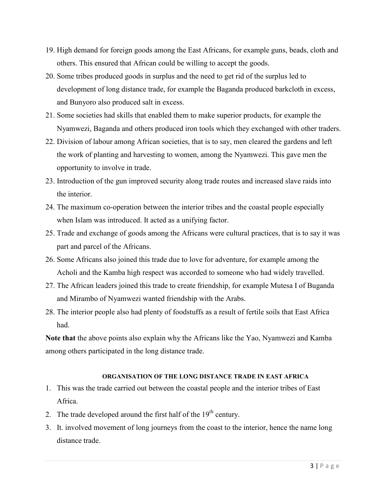- 19. High demand for foreign goods among the East Africans, for example guns, beads, cloth and others. This ensured that African could be willing to accept the goods.
- 20. Some tribes produced goods in surplus and the need to get rid of the surplus led to development of long distance trade, for example the Baganda produced barkcloth in excess, and Bunyoro also produced salt in excess.
- 21. Some societies had skills that enabled them to make superior products, for example the Nyamwezi, Baganda and others produced iron tools which they exchanged with other traders.
- 22. Division of labour among African societies, that is to say, men cleared the gardens and left the work of planting and harvesting to women, among the Nyamwezi. This gave men the opportunity to involve in trade.
- 23. Introduction of the gun improved security along trade routes and increased slave raids into the interior.
- 24. The maximum co-operation between the interior tribes and the coastal people especially when Islam was introduced. It acted as a unifying factor.
- 25. Trade and exchange of goods among the Africans were cultural practices, that is to say it was part and parcel of the Africans.
- 26. Some Africans also joined this trade due to love for adventure, for example among the Acholi and the Kamba high respect was accorded to someone who had widely travelled.
- 27. The African leaders joined this trade to create friendship, for example Mutesa I of Buganda and Mirambo of Nyamwezi wanted friendship with the Arabs.
- 28. The interior people also had plenty of foodstuffs as a result of fertile soils that East Africa had.

**Note that** the above points also explain why the Africans like the Yao, Nyamwezi and Kamba among others participated in the long distance trade.

#### **ORGANISATION OF THE LONG DISTANCE TRADE IN EAST AFRICA**

- 1. This was the trade carried out between the coastal people and the interior tribes of East Africa.
- 2. The trade developed around the first half of the  $19<sup>th</sup>$  century.
- 3. It. involved movement of long journeys from the coast to the interior, hence the name long distance trade.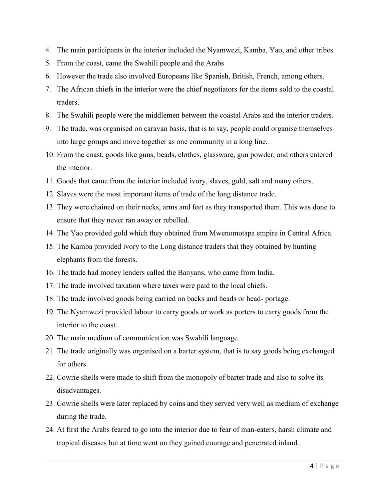- 4. The main participants in the interior included the Nyamwezi, Kamba, Yao, and other tribes.
- 5. From the coast, came the Swahili people and the Arabs
- 6. However the trade also involved Europeans like Spanish, British, French, among others.
- 7. The African chiefs in the interior were the chief negotiators for the items sold to the coastal traders.
- 8. The Swahili people were the middlemen between the coastal Arabs and the interior traders.
- 9. The trade, was organised on caravan basis, that is to say, people could organise themselves into large groups and move together as one community in a long line.
- 10. From the coast, goods like guns, beads, clothes, glassware, gun powder, and others entered the interior.
- 11. Goods that came from the interior included ivory, slaves, gold, salt and many others.
- 12. Slaves were the most important items of trade of the long distance trade.
- 13. They were chained on their necks, arms and feet as they transported them. This was done to ensure that they never ran away or rebelled.
- 14. The Yao provided gold which they obtained from Mwenomotapa empire in Central Africa.
- 15. The Kamba provided ivory to the Long distance traders that they obtained by hunting elephants from the forests.
- 16. The trade had money lenders called the Banyans, who came from India.
- 17. The trade involved taxation where taxes were paid to the local chiefs.
- 18. The trade involved goods being carried on backs and heads or head- portage.
- 19. The Nyamwezi provided labour to carry goods or work as porters to carry goods from the interior to the coast.
- 20. The main medium of communication was Swahili language.
- 21. The trade originally was organised on a barter system, that is to say goods being exchanged for others.
- 22. Cowrie shells were made to shift from the monopoly of barter trade and also to solve its disadvantages.
- 23. Cowrie shells were later replaced by coins and they served very well as medium of exchange during the trade.
- 24. At first the Arabs feared to go into the interior due to fear of man-eaters, harsh climate and tropical diseases but at time went on they gained courage and penetrated inland.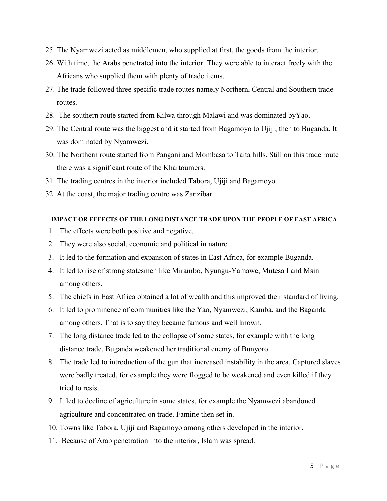- 25. The Nyamwezi acted as middlemen, who supplied at first, the goods from the interior.
- 26. With time, the Arabs penetrated into the interior. They were able to interact freely with the Africans who supplied them with plenty of trade items.
- 27. The trade followed three specific trade routes namely Northern, Central and Southern trade routes.
- 28. The southern route started from Kilwa through Malawi and was dominated byYao.
- 29. The Central route was the biggest and it started from Bagamoyo to Ujiji, then to Buganda. It was dominated by Nyamwezi.
- 30. The Northern route started from Pangani and Mombasa to Taita hills. Still on this trade route there was a significant route of the Khartoumers.
- 31. The trading centres in the interior included Tabora, Ujiji and Bagamoyo.
- 32. At the coast, the major trading centre was Zanzibar.

# **IMPACT OR EFFECTS OF THE LONG DISTANCE TRADE UPON THE PEOPLE OF EAST AFRICA**

- 1. The effects were both positive and negative.
- 2. They were also social, economic and political in nature.
- 3. It led to the formation and expansion of states in East Africa, for example Buganda.
- 4. It led to rise of strong statesmen like Mirambo, Nyungu-Yamawe, Mutesa I and Msiri among others.
- 5. The chiefs in East Africa obtained a lot of wealth and this improved their standard of living.
- 6. It led to prominence of communities like the Yao, Nyamwezi, Kamba, and the Baganda among others. That is to say they became famous and well known.
- 7. The long distance trade led to the collapse of some states, for example with the long distance trade, Buganda weakened her traditional enemy of Bunyoro.
- 8. The trade led to introduction of the gun that increased instability in the area. Captured slaves were badly treated, for example they were flogged to be weakened and even killed if they tried to resist.
- 9. It led to decline of agriculture in some states, for example the Nyamwezi abandoned agriculture and concentrated on trade. Famine then set in.
- 10. Towns like Tabora, Ujiji and Bagamoyo among others developed in the interior.
- 11. Because of Arab penetration into the interior, Islam was spread.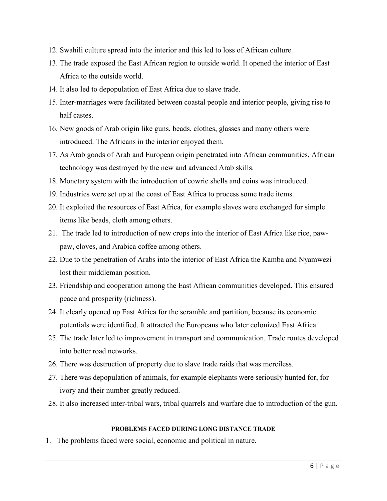- 12. Swahili culture spread into the interior and this led to loss of African culture.
- 13. The trade exposed the East African region to outside world. It opened the interior of East Africa to the outside world.
- 14. It also led to depopulation of East Africa due to slave trade.
- 15. Inter-marriages were facilitated between coastal people and interior people, giving rise to half castes.
- 16. New goods of Arab origin like guns, beads, clothes, glasses and many others were introduced. The Africans in the interior enjoyed them.
- 17. As Arab goods of Arab and European origin penetrated into African communities, African technology was destroyed by the new and advanced Arab skills.
- 18. Monetary system with the introduction of cowrie shells and coins was introduced.
- 19. Industries were set up at the coast of East Africa to process some trade items.
- 20. It exploited the resources of East Africa, for example slaves were exchanged for simple items like beads, cloth among others.
- 21. The trade led to introduction of new crops into the interior of East Africa like rice, pawpaw, cloves, and Arabica coffee among others.
- 22. Due to the penetration of Arabs into the interior of East Africa the Kamba and Nyamwezi lost their middleman position.
- 23. Friendship and cooperation among the East African communities developed. This ensured peace and prosperity (richness).
- 24. It clearly opened up East Africa for the scramble and partition, because its economic potentials were identified. It attracted the Europeans who later colonized East Africa.
- 25. The trade later led to improvement in transport and communication. Trade routes developed into better road networks.
- 26. There was destruction of property due to slave trade raids that was merciless.
- 27. There was depopulation of animals, for example elephants were seriously hunted for, for ivory and their number greatly reduced.
- 28. It also increased inter-tribal wars, tribal quarrels and warfare due to introduction of the gun.

#### **PROBLEMS FACED DURING LONG DISTANCE TRADE**

1. The problems faced were social, economic and political in nature.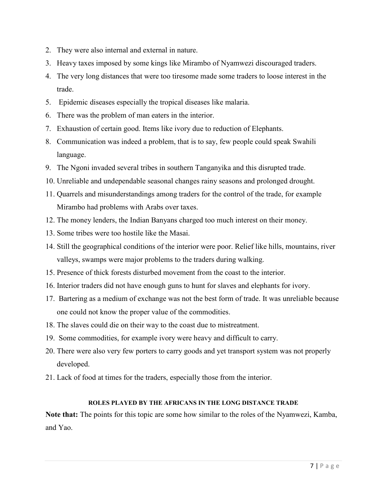- 2. They were also internal and external in nature.
- 3. Heavy taxes imposed by some kings like Mirambo of Nyamwezi discouraged traders.
- 4. The very long distances that were too tiresome made some traders to loose interest in the trade.
- 5. Epidemic diseases especially the tropical diseases like malaria.
- 6. There was the problem of man eaters in the interior.
- 7. Exhaustion of certain good. Items like ivory due to reduction of Elephants.
- 8. Communication was indeed a problem, that is to say, few people could speak Swahili language.
- 9. The Ngoni invaded several tribes in southern Tanganyika and this disrupted trade.
- 10. Unreliable and undependable seasonal changes rainy seasons and prolonged drought.
- 11. Quarrels and misunderstandings among traders for the control of the trade, for example Mirambo had problems with Arabs over taxes.
- 12. The money lenders, the Indian Banyans charged too much interest on their money.
- 13. Some tribes were too hostile like the Masai.
- 14. Still the geographical conditions of the interior were poor. Relief like hills, mountains, river valleys, swamps were major problems to the traders during walking.
- 15. Presence of thick forests disturbed movement from the coast to the interior.
- 16. Interior traders did not have enough guns to hunt for slaves and elephants for ivory.
- 17. Bartering as a medium of exchange was not the best form of trade. It was unreliable because one could not know the proper value of the commodities.
- 18. The slaves could die on their way to the coast due to mistreatment.
- 19. Some commodities, for example ivory were heavy and difficult to carry.
- 20. There were also very few porters to carry goods and yet transport system was not properly developed.
- 21. Lack of food at times for the traders, especially those from the interior.

#### **ROLES PLAYED BY THE AFRICANS IN THE LONG DISTANCE TRADE**

**Note that:** The points for this topic are some how similar to the roles of the Nyamwezi, Kamba, and Yao.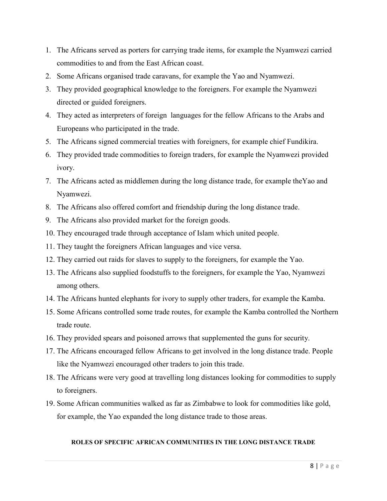- 1. The Africans served as porters for carrying trade items, for example the Nyamwezi carried commodities to and from the East African coast.
- 2. Some Africans organised trade caravans, for example the Yao and Nyamwezi.
- 3. They provided geographical knowledge to the foreigners. For example the Nyamwezi directed or guided foreigners.
- 4. They acted as interpreters of foreign languages for the fellow Africans to the Arabs and Europeans who participated in the trade.
- 5. The Africans signed commercial treaties with foreigners, for example chief Fundikira.
- 6. They provided trade commodities to foreign traders, for example the Nyamwezi provided ivory.
- 7. The Africans acted as middlemen during the long distance trade, for example theYao and Nyamwezi.
- 8. The Africans also offered comfort and friendship during the long distance trade.
- 9. The Africans also provided market for the foreign goods.
- 10. They encouraged trade through acceptance of Islam which united people.
- 11. They taught the foreigners African languages and vice versa.
- 12. They carried out raids for slaves to supply to the foreigners, for example the Yao.
- 13. The Africans also supplied foodstuffs to the foreigners, for example the Yao, Nyamwezi among others.
- 14. The Africans hunted elephants for ivory to supply other traders, for example the Kamba.
- 15. Some Africans controlled some trade routes, for example the Kamba controlled the Northern trade route.
- 16. They provided spears and poisoned arrows that supplemented the guns for security.
- 17. The Africans encouraged fellow Africans to get involved in the long distance trade. People like the Nyamwezi encouraged other traders to join this trade.
- 18. The Africans were very good at travelling long distances looking for commodities to supply to foreigners.
- 19. Some African communities walked as far as Zimbabwe to look for commodities like gold, for example, the Yao expanded the long distance trade to those areas.

#### **ROLES OF SPECIFIC AFRICAN COMMUNITIES IN THE LONG DISTANCE TRADE**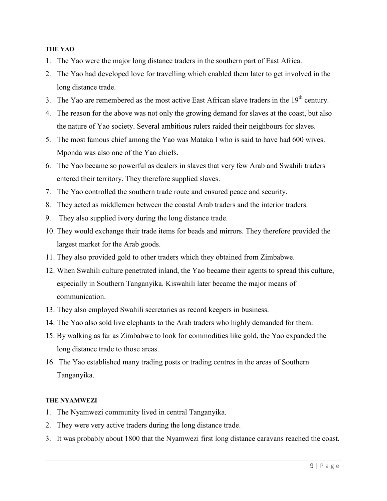#### **THE YAO**

- 1. The Yao were the major long distance traders in the southern part of East Africa.
- 2. The Yao had developed love for travelling which enabled them later to get involved in the long distance trade.
- 3. The Yao are remembered as the most active East African slave traders in the  $19<sup>th</sup>$  century.
- 4. The reason for the above was not only the growing demand for slaves at the coast, but also the nature of Yao society. Several ambitious rulers raided their neighbours for slaves.
- 5. The most famous chief among the Yao was Mataka I who is said to have had 600 wives. Mponda was also one of the Yao chiefs.
- 6. The Yao became so powerful as dealers in slaves that very few Arab and Swahili traders entered their territory. They therefore supplied slaves.
- 7. The Yao controlled the southern trade route and ensured peace and security.
- 8. They acted as middlemen between the coastal Arab traders and the interior traders.
- 9. They also supplied ivory during the long distance trade.
- 10. They would exchange their trade items for beads and mirrors. They therefore provided the largest market for the Arab goods.
- 11. They also provided gold to other traders which they obtained from Zimbabwe.
- 12. When Swahili culture penetrated inland, the Yao became their agents to spread this culture, especially in Southern Tanganyika. Kiswahili later became the major means of communication.
- 13. They also employed Swahili secretaries as record keepers in business.
- 14. The Yao also sold live elephants to the Arab traders who highly demanded for them.
- 15. By walking as far as Zimbabwe to look for commodities like gold, the Yao expanded the long distance trade to those areas.
- 16. The Yao established many trading posts or trading centres in the areas of Southern Tanganyika.

#### **THE NYAMWEZI**

- 1. The Nyamwezi community lived in central Tanganyika.
- 2. They were very active traders during the long distance trade.
- 3. It was probably about 1800 that the Nyamwezi first long distance caravans reached the coast.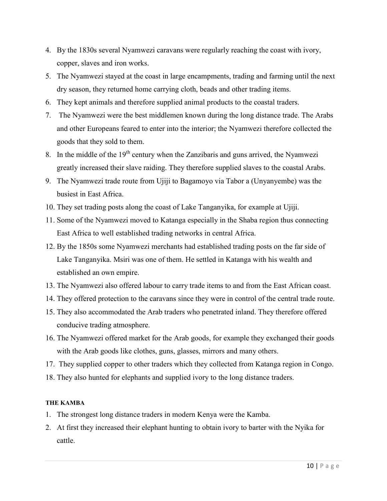- 4. By the 1830s several Nyamwezi caravans were regularly reaching the coast with ivory, copper, slaves and iron works.
- 5. The Nyamwezi stayed at the coast in large encampments, trading and farming until the next dry season, they returned home carrying cloth, beads and other trading items.
- 6. They kept animals and therefore supplied animal products to the coastal traders.
- 7. The Nyamwezi were the best middlemen known during the long distance trade. The Arabs and other Europeans feared to enter into the interior; the Nyamwezi therefore collected the goods that they sold to them.
- 8. In the middle of the  $19<sup>th</sup>$  century when the Zanzibaris and guns arrived, the Nyamwezi greatly increased their slave raiding. They therefore supplied slaves to the coastal Arabs.
- 9. The Nyamwezi trade route from Ujiji to Bagamoyo via Tabor a (Unyanyembe) was the busiest in East Africa.
- 10. They set trading posts along the coast of Lake Tanganyika, for example at Ujiji.
- 11. Some of the Nyamwezi moved to Katanga especially in the Shaba region thus connecting East Africa to well established trading networks in central Africa.
- 12. By the 1850s some Nyamwezi merchants had established trading posts on the far side of Lake Tanganyika. Msiri was one of them. He settled in Katanga with his wealth and established an own empire.
- 13. The Nyamwezi also offered labour to carry trade items to and from the East African coast.
- 14. They offered protection to the caravans since they were in control of the central trade route.
- 15. They also accommodated the Arab traders who penetrated inland. They therefore offered conducive trading atmosphere.
- 16. The Nyamwezi offered market for the Arab goods, for example they exchanged their goods with the Arab goods like clothes, guns, glasses, mirrors and many others.
- 17. They supplied copper to other traders which they collected from Katanga region in Congo.
- 18. They also hunted for elephants and supplied ivory to the long distance traders.

# **THE KAMBA**

- 1. The strongest long distance traders in modern Kenya were the Kamba.
- 2. At first they increased their elephant hunting to obtain ivory to barter with the Nyika for cattle.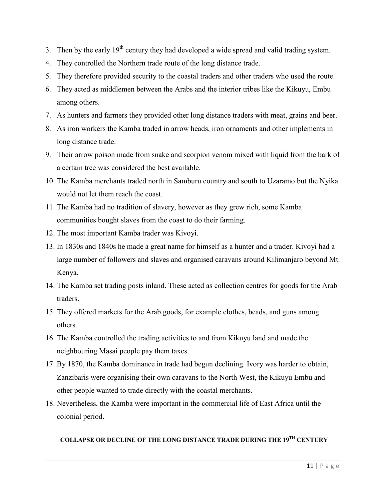- 3. Then by the early  $19<sup>th</sup>$  century they had developed a wide spread and valid trading system.
- 4. They controlled the Northern trade route of the long distance trade.
- 5. They therefore provided security to the coastal traders and other traders who used the route.
- 6. They acted as middlemen between the Arabs and the interior tribes like the Kikuyu, Embu among others.
- 7. As hunters and farmers they provided other long distance traders with meat, grains and beer.
- 8. As iron workers the Kamba traded in arrow heads, iron ornaments and other implements in long distance trade.
- 9. Their arrow poison made from snake and scorpion venom mixed with liquid from the bark of a certain tree was considered the best available.
- 10. The Kamba merchants traded north in Samburu country and south to Uzaramo but the Nyika would not let them reach the coast.
- 11. The Kamba had no tradition of slavery, however as they grew rich, some Kamba communities bought slaves from the coast to do their farming.
- 12. The most important Kamba trader was Kivoyi.
- 13. In 1830s and 1840s he made a great name for himself as a hunter and a trader. Kivoyi had a large number of followers and slaves and organised caravans around Kilimanjaro beyond Mt. Kenya.
- 14. The Kamba set trading posts inland. These acted as collection centres for goods for the Arab traders.
- 15. They offered markets for the Arab goods, for example clothes, beads, and guns among others.
- 16. The Kamba controlled the trading activities to and from Kikuyu land and made the neighbouring Masai people pay them taxes.
- 17. By 1870, the Kamba dominance in trade had begun declining. Ivory was harder to obtain, Zanzibaris were organising their own caravans to the North West, the Kikuyu Embu and other people wanted to trade directly with the coastal merchants.
- 18. Nevertheless, the Kamba were important in the commercial life of East Africa until the colonial period.

# **COLLAPSE OR DECLINE OF THE LONG DISTANCE TRADE DURING THE 19TH CENTURY**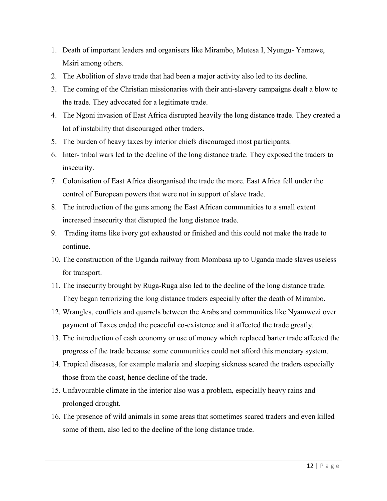- 1. Death of important leaders and organisers like Mirambo, Mutesa I, Nyungu- Yamawe, Msiri among others.
- 2. The Abolition of slave trade that had been a major activity also led to its decline.
- 3. The coming of the Christian missionaries with their anti-slavery campaigns dealt a blow to the trade. They advocated for a legitimate trade.
- 4. The Ngoni invasion of East Africa disrupted heavily the long distance trade. They created a lot of instability that discouraged other traders.
- 5. The burden of heavy taxes by interior chiefs discouraged most participants.
- 6. Inter- tribal wars led to the decline of the long distance trade. They exposed the traders to insecurity.
- 7. Colonisation of East Africa disorganised the trade the more. East Africa fell under the control of European powers that were not in support of slave trade.
- 8. The introduction of the guns among the East African communities to a small extent increased insecurity that disrupted the long distance trade.
- 9. Trading items like ivory got exhausted or finished and this could not make the trade to continue.
- 10. The construction of the Uganda railway from Mombasa up to Uganda made slaves useless for transport.
- 11. The insecurity brought by Ruga-Ruga also led to the decline of the long distance trade. They began terrorizing the long distance traders especially after the death of Mirambo.
- 12. Wrangles, conflicts and quarrels between the Arabs and communities like Nyamwezi over payment of Taxes ended the peaceful co-existence and it affected the trade greatly.
- 13. The introduction of cash economy or use of money which replaced barter trade affected the progress of the trade because some communities could not afford this monetary system.
- 14. Tropical diseases, for example malaria and sleeping sickness scared the traders especially those from the coast, hence decline of the trade.
- 15. Unfavourable climate in the interior also was a problem, especially heavy rains and prolonged drought.
- 16. The presence of wild animals in some areas that sometimes scared traders and even killed some of them, also led to the decline of the long distance trade.